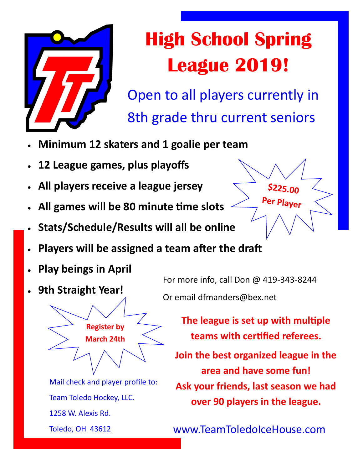

## **High School Spring League 2019!**

Open to all players currently in 8th grade thru current seniors

- **Minimum 12 skaters and 1 goalie per team**
- **12 League games, plus playoffs**
- **All players receive a league jersey**
- **All games will be 80 minute time slots**
- **Stats/Schedule/Results will all be online**
- $$225.00$ Per Player
- **Players will be assigned a team after the draft**
- **Play beings in April**
- **9th Straight Year!**

For more info, call Don @ 419-343-8244 Or email dfmanders@bex.net

> **The league is set up with multiple teams with certified referees.**

**Join the best organized league in the area and have some fun! Ask your friends, last season we had over 90 players in the league.**

Mail check and player profile to: Team Toledo Hockey, LLC. 1258 W. Alexis Rd. Toledo, OH 43612

**Register by March 24th** 

www.TeamToledoIceHouse.com